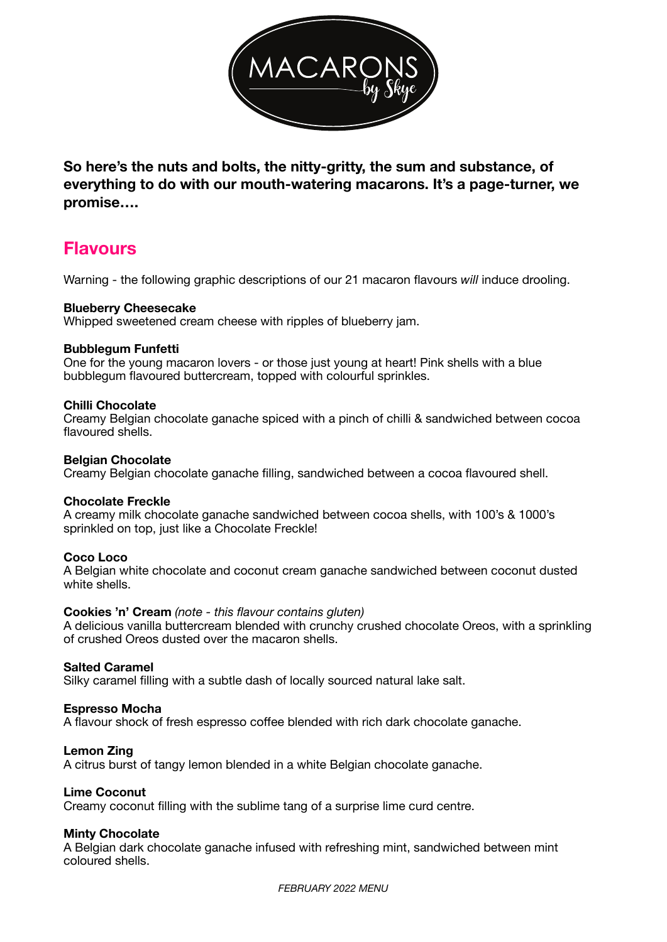

**So here's the nuts and bolts, the nitty-gritty, the sum and substance, of everything to do with our mouth-watering macarons. It's a page-turner, we promise….** 

# **Flavours**

Warning - the following graphic descriptions of our 21 macaron flavours *will* induce drooling.

#### **Blueberry Cheesecake**

Whipped sweetened cream cheese with ripples of blueberry jam.

#### **Bubblegum Funfetti**

One for the young macaron lovers - or those just young at heart! Pink shells with a blue bubblegum flavoured buttercream, topped with colourful sprinkles.

#### **Chilli Chocolate**

Creamy Belgian chocolate ganache spiced with a pinch of chilli & sandwiched between cocoa flavoured shells.

#### **Belgian Chocolate**

Creamy Belgian chocolate ganache filling, sandwiched between a cocoa flavoured shell.

#### **Chocolate Freckle**

A creamy milk chocolate ganache sandwiched between cocoa shells, with 100's & 1000's sprinkled on top, just like a Chocolate Freckle!

## **Coco Loco**

A Belgian white chocolate and coconut cream ganache sandwiched between coconut dusted white shells.

#### **Cookies 'n' Cream** *(note - this flavour contains gluten)*

A delicious vanilla buttercream blended with crunchy crushed chocolate Oreos, with a sprinkling of crushed Oreos dusted over the macaron shells.

#### **Salted Caramel**

Silky caramel filling with a subtle dash of locally sourced natural lake salt.

#### **Espresso Mocha**

A flavour shock of fresh espresso coffee blended with rich dark chocolate ganache.

#### **Lemon Zing**

A citrus burst of tangy lemon blended in a white Belgian chocolate ganache.

#### **Lime Coconut**

Creamy coconut filling with the sublime tang of a surprise lime curd centre.

#### **Minty Chocolate**

A Belgian dark chocolate ganache infused with refreshing mint, sandwiched between mint coloured shells.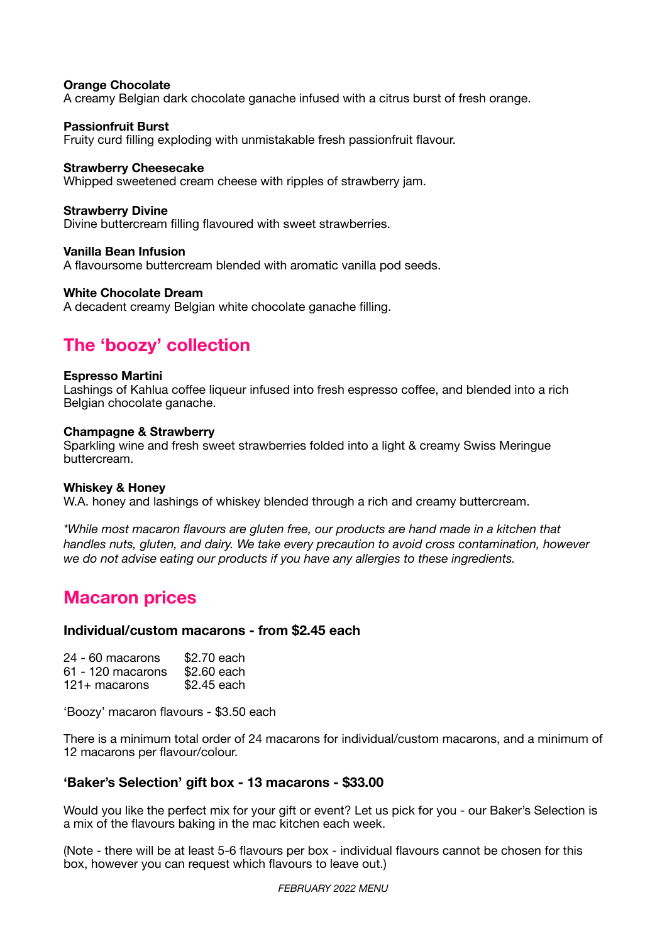#### **Orange Chocolate**

A creamy Belgian dark chocolate ganache infused with a citrus burst of fresh orange.

#### **Passionfruit Burst**

Fruity curd filling exploding with unmistakable fresh passionfruit flavour.

#### **Strawberry Cheesecake**

Whipped sweetened cream cheese with ripples of strawberry jam.

#### **Strawberry Divine**

Divine buttercream filling flavoured with sweet strawberries.

#### **Vanilla Bean Infusion**

A flavoursome buttercream blended with aromatic vanilla pod seeds.

#### **White Chocolate Dream**

A decadent creamy Belgian white chocolate ganache filling.

# **The 'boozy' collection**

#### **Espresso Martini**

Lashings of Kahlua coffee liqueur infused into fresh espresso coffee, and blended into a rich Belgian chocolate ganache.

#### **Champagne & Strawberry**

Sparkling wine and fresh sweet strawberries folded into a light & creamy Swiss Meringue buttercream.

#### **Whiskey & Honey**

W.A. honey and lashings of whiskey blended through a rich and creamy buttercream.

*\*While most macaron flavours are gluten free, our products are hand made in a kitchen that handles nuts, gluten, and dairy. We take every precaution to avoid cross contamination, however we do not advise eating our products if you have any allergies to these ingredients.* 

# **Macaron prices**

## **Individual/custom macarons - from \$2.45 each**

| 24 - 60 macarons  | \$2.70 each |
|-------------------|-------------|
| 61 - 120 macarons | \$2,60 each |
| $121+$ macarons   | \$2.45 each |

'Boozy' macaron flavours - \$3.50 each

There is a minimum total order of 24 macarons for individual/custom macarons, and a minimum of 12 macarons per flavour/colour.

## **'Baker's Selection' gift box - 13 macarons - \$33.00**

Would you like the perfect mix for your gift or event? Let us pick for you - our Baker's Selection is a mix of the flavours baking in the mac kitchen each week.

(Note - there will be at least 5-6 flavours per box - individual flavours cannot be chosen for this box, however you can request which flavours to leave out.)